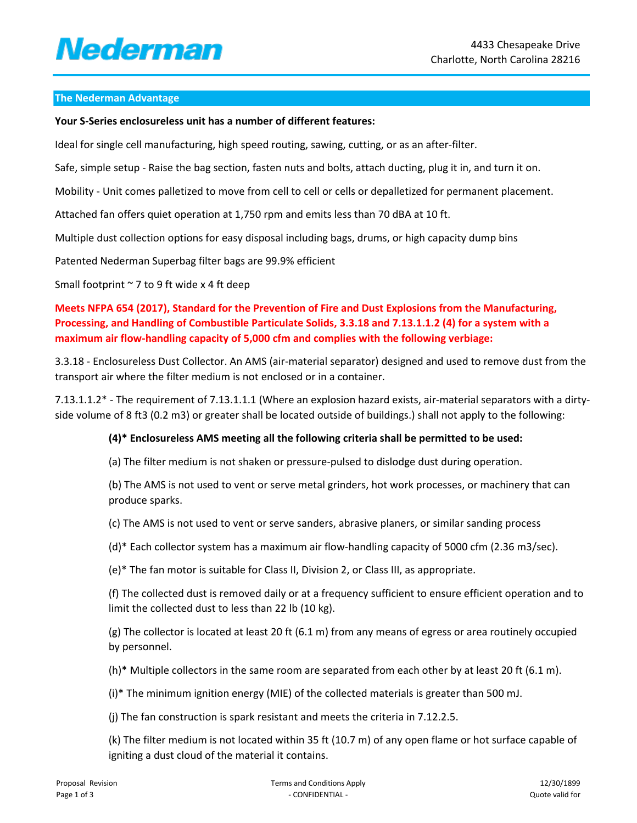# Nederman

### **The Nederman Advantage**

#### **Your S-Series enclosureless unit has a number of different features:**

Ideal for single cell manufacturing, high speed routing, sawing, cutting, or as an after-filter.

Safe, simple setup - Raise the bag section, fasten nuts and bolts, attach ducting, plug it in, and turn it on.

Mobility - Unit comes palletized to move from cell to cell or cells or depalletized for permanent placement.

Attached fan offers quiet operation at 1,750 rpm and emits less than 70 dBA at 10 ft.

Multiple dust collection options for easy disposal including bags, drums, or high capacity dump bins

Patented Nederman Superbag filter bags are 99.9% efficient

Small footprint  $\sim$  7 to 9 ft wide x 4 ft deep

**Meets NFPA 654 (2017), Standard for the Prevention of Fire and Dust Explosions from the Manufacturing, Processing, and Handling of Combustible Particulate Solids, 3.3.18 and 7.13.1.1.2 (4) for a system with a maximum air flow-handling capacity of 5,000 cfm and complies with the following verbiage:**

3.3.18 - Enclosureless Dust Collector. An AMS (air-material separator) designed and used to remove dust from the transport air where the filter medium is not enclosed or in a container.

7.13.1.1.2\* - The requirement of 7.13.1.1.1 (Where an explosion hazard exists, air-material separators with a dirtyside volume of 8 ft3 (0.2 m3) or greater shall be located outside of buildings.) shall not apply to the following:

### **(4)\* Enclosureless AMS meeting all the following criteria shall be permitted to be used:**

(a) The filter medium is not shaken or pressure-pulsed to dislodge dust during operation.

(b) The AMS is not used to vent or serve metal grinders, hot work processes, or machinery that can produce sparks.

(c) The AMS is not used to vent or serve sanders, abrasive planers, or similar sanding process

(d)\* Each collector system has a maximum air flow-handling capacity of 5000 cfm (2.36 m3/sec).

(e)\* The fan motor is suitable for Class II, Division 2, or Class III, as appropriate.

(f) The collected dust is removed daily or at a frequency sufficient to ensure efficient operation and to limit the collected dust to less than 22 lb (10 kg).

(g) The collector is located at least 20 ft (6.1 m) from any means of egress or area routinely occupied by personnel.

(h)\* Multiple collectors in the same room are separated from each other by at least 20 ft (6.1 m).

(i)\* The minimum ignition energy (MIE) of the collected materials is greater than 500 mJ.

(j) The fan construction is spark resistant and meets the criteria in 7.12.2.5.

(k) The filter medium is not located within 35 ft (10.7 m) of any open flame or hot surface capable of igniting a dust cloud of the material it contains.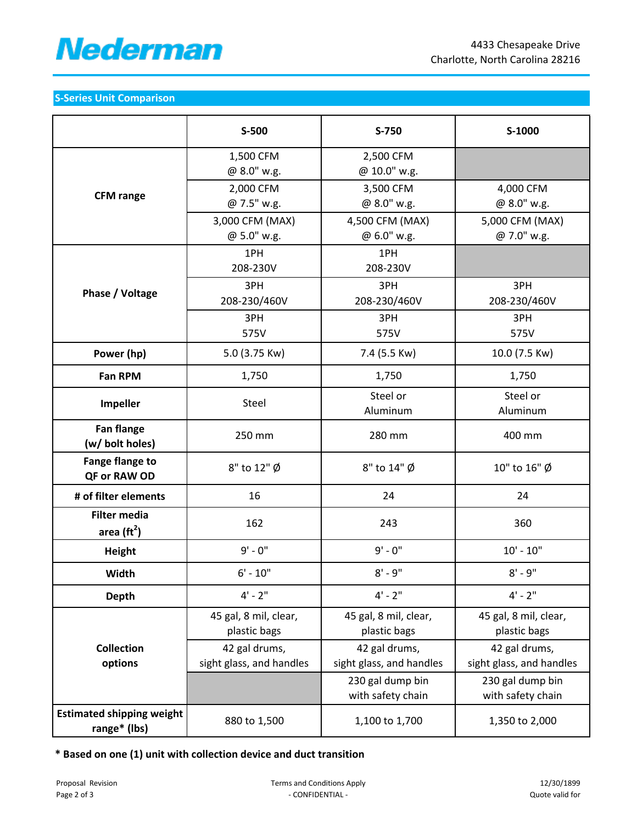

## **S-Series Unit Comparison**

|                                                  | S-500                                 | S-750                                                             | S-1000                                                            |
|--------------------------------------------------|---------------------------------------|-------------------------------------------------------------------|-------------------------------------------------------------------|
| <b>CFM</b> range                                 | 1,500 CFM<br>@ 8.0" w.g.              | 2,500 CFM<br>@ 10.0" w.g.                                         |                                                                   |
|                                                  | 2,000 CFM<br>@ 7.5" w.g.              | 3,500 CFM<br>@ 8.0" w.g.                                          | 4,000 CFM<br>@ 8.0" w.g.                                          |
|                                                  | 3,000 CFM (MAX)<br>@ 5.0" w.g.        | 4,500 CFM (MAX)<br>@ 6.0" w.g.                                    | 5,000 CFM (MAX)<br>@ 7.0" w.g.                                    |
| Phase / Voltage                                  | 1PH<br>208-230V                       | 1PH<br>208-230V                                                   |                                                                   |
|                                                  | 3PH<br>208-230/460V                   | 3PH<br>208-230/460V                                               | 3PH<br>208-230/460V                                               |
|                                                  | 3PH<br>575V                           | 3PH<br>575V                                                       | 3PH<br>575V                                                       |
| Power (hp)                                       | 5.0 (3.75 Kw)                         | 7.4 (5.5 Kw)                                                      | 10.0 (7.5 Kw)                                                     |
| Fan RPM                                          | 1,750                                 | 1,750                                                             | 1,750                                                             |
| <b>Impeller</b>                                  | Steel                                 | Steel or<br>Aluminum                                              | Steel or<br>Aluminum                                              |
| <b>Fan flange</b><br>(w/ bolt holes)             | 250 mm                                | 280 mm                                                            | 400 mm                                                            |
| <b>Fange flange to</b><br>QF or RAW OD           | 8" to 12" Ø                           | 8" to 14" Ø                                                       | 10" to 16" Ø                                                      |
| # of filter elements                             | 16                                    | 24                                                                | 24                                                                |
| <b>Filter media</b><br>area $(rt2)$              | 162                                   | 243                                                               | 360                                                               |
| Height                                           | $9' - 0''$                            | $9' - 0''$                                                        | $10' - 10''$                                                      |
| Width                                            | $6' - 10''$                           | $8' - 9''$                                                        | $8' - 9''$                                                        |
| <b>Depth</b>                                     | $4' - 2''$                            | $4' - 2''$                                                        | $4' - 2''$                                                        |
|                                                  | 45 gal, 8 mil, clear,<br>plastic bags | 45 gal, 8 mil, clear,<br>plastic bags                             | 45 gal, 8 mil, clear,<br>plastic bags                             |
| <b>Collection</b>                                | 42 gal drums,                         | 42 gal drums,                                                     | 42 gal drums,                                                     |
| options                                          | sight glass, and handles              | sight glass, and handles<br>230 gal dump bin<br>with safety chain | sight glass, and handles<br>230 gal dump bin<br>with safety chain |
| <b>Estimated shipping weight</b><br>range* (lbs) | 880 to 1,500                          | 1,100 to 1,700                                                    | 1,350 to 2,000                                                    |

**\* Based on one (1) unit with collection device and duct transition**